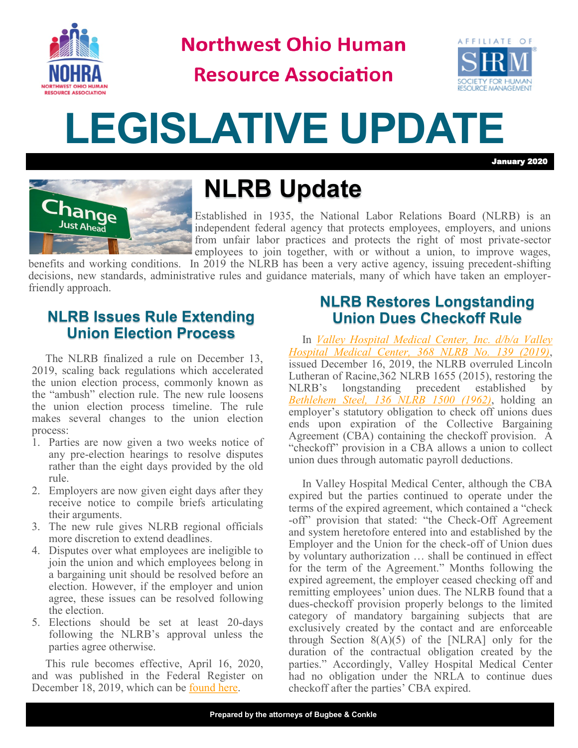

**Northwest Ohio Human** 

**Resource Association** 



# **LEGISLATIVE UPDATE**

January 2020



# **NLRB Update**

Established in 1935, the National Labor Relations Board (NLRB) is an independent federal agency that protects employees, employers, and unions from unfair labor practices and protects the right of most private-sector employees to join together, with or without a union, to improve wages,

benefits and working conditions. In 2019 the NLRB has been a very active agency, issuing precedent-shifting decisions, new standards, administrative rules and guidance materials, many of which have taken an employerfriendly approach.

## **NLRB Issues Rule Extending Union Election Process**

The NLRB finalized a rule on December 13, 2019, scaling back regulations which accelerated the union election process, commonly known as the "ambush" election rule. The new rule loosens the union election process timeline. The rule makes several changes to the union election process:

- 1. Parties are now given a two weeks notice of any pre-election hearings to resolve disputes rather than the eight days provided by the old rule.
- 2. Employers are now given eight days after they receive notice to compile briefs articulating their arguments.
- 3. The new rule gives NLRB regional officials more discretion to extend deadlines.
- 4. Disputes over what employees are ineligible to join the union and which employees belong in a bargaining unit should be resolved before an election. However, if the employer and union agree, these issues can be resolved following the election.
- 5. Elections should be set at least 20-days following the NLRB's approval unless the parties agree otherwise.

This rule becomes effective, April 16, 2020, and was published in the Federal Register on December 18, 2019, which can be [found here.](https://www.federalregister.gov/documents/2019/12/18/2019-26920/representation-case-procedures)

### **NLRB Restores Longstanding Union Dues Checkoff Rule**

In *[Valley Hospital Medical Center, Inc. d/b/a Valley](https://www.google.com/url?sa=t&rct=j&q=&esrc=s&source=web&cd=1&cad=rja&uact=8&ved=2ahUKEwjQj4nZmd7mAhXipVkKHam0AyMQFjAAegQIChAC&url=https%3A%2F%2Fapps.nlrb.gov%2Flink%2Fdocument.aspx%2F09031d4582ebd756&usg=AOvVaw2oncBWYHhCAW9IMi8fMWao)  [Hospital Medical Center, 368 NLRB No. 139 \(2019\)](https://www.google.com/url?sa=t&rct=j&q=&esrc=s&source=web&cd=1&cad=rja&uact=8&ved=2ahUKEwjQj4nZmd7mAhXipVkKHam0AyMQFjAAegQIChAC&url=https%3A%2F%2Fapps.nlrb.gov%2Flink%2Fdocument.aspx%2F09031d4582ebd756&usg=AOvVaw2oncBWYHhCAW9IMi8fMWao)*, issued December 16, 2019, the NLRB overruled Lincoln Lutheran of Racine,362 NLRB 1655 (2015), restoring the NLRB's longstanding precedent established by *[Bethlehem Steel, 136 NLRB 1500 \(1962\)](https://www.laborrelationsupdate.com/files/2012/12/Bethlehem-Steel-Company-Shipbuilding-Division-136-NLRB-1500-1962.pdf)*, holding an employer's statutory obligation to check off unions dues ends upon expiration of the Collective Bargaining Agreement (CBA) containing the checkoff provision. A "checkoff" provision in a CBA allows a union to collect union dues through automatic payroll deductions.

In Valley Hospital Medical Center, although the CBA expired but the parties continued to operate under the terms of the expired agreement, which contained a "check -off" provision that stated: "the Check-Off Agreement and system heretofore entered into and established by the Employer and the Union for the check-off of Union dues by voluntary authorization … shall be continued in effect for the term of the Agreement." Months following the expired agreement, the employer ceased checking off and remitting employees' union dues. The NLRB found that a dues-checkoff provision properly belongs to the limited category of mandatory bargaining subjects that are exclusively created by the contact and are enforceable through Section  $8(A)(5)$  of the [NLRA] only for the duration of the contractual obligation created by the parties." Accordingly, Valley Hospital Medical Center had no obligation under the NRLA to continue dues checkoff after the parties' CBA expired.